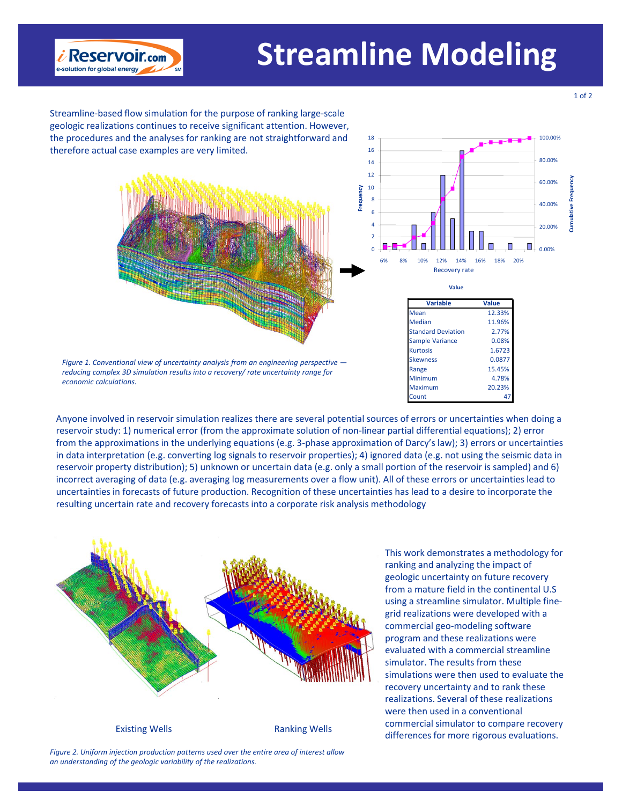

## **Streamline Modeling**

Streamline‐based flow simulation for the purpose of ranking large‐scale geologic realizations continues to receive significant attention. However, the procedures and the analyses for ranking are not straightforward and therefore actual case examples are very limited.





| <b>Variable</b>           | Value  |
|---------------------------|--------|
| Mean                      | 12.33% |
| <b>Median</b>             | 11.96% |
| <b>Standard Deviation</b> | 2.77%  |
| <b>Sample Variance</b>    | 0.08%  |
| <b>Kurtosis</b>           | 1.6723 |
| <b>Skewness</b>           | 0.0877 |
| Range                     | 15.45% |
| Minimum                   | 4.78%  |
| Maximum                   | 20.23% |
| Count                     | 47     |

*Figure 1. Conventional view of uncertainty analysis from an engineering perspective reducing complex 3D simulation results into a recovery/ rate uncertainty range for economic calculations.*

Anyone involved in reservoir simulation realizes there are several potential sources of errors or uncertainties when doing a reservoir study: 1) numerical error (from the approximate solution of non-linear partial differential equations); 2) error from the approximations in the underlying equations (e.g. 3-phase approximation of Darcy's law); 3) errors or uncertainties in data interpretation (e.g. converting log signals to reservoir properties); 4) ignored data (e.g. not using the seismic data in reservoir property distribution); 5) unknown or uncertain data (e.g. only a small portion of the reservoir is sampled) and 6) incorrect averaging of data (e.g. averaging log measurements over a flow unit). All of these errors or uncertainties lead to uncertainties in forecasts of future production. Recognition of these uncertainties has lead to a desire to incorporate the resulting uncertain rate and recovery forecasts into a corporate risk analysis methodology



This work demonstrates a methodology for ranking and analyzing the impact of geologic uncertainty on future recovery from a mature field in the continental U.S using a streamline simulator. Multiple fine‐ grid realizations were developed with a commercial geo‐modeling software program and these realizations were evaluated with a commercial streamline simulator. The results from these simulations were then used to evaluate the recovery uncertainty and to rank these realizations. Several of these realizations were then used in a conventional commercial simulator to compare recovery differences for more rigorous evaluations.

*Figure 2. Uniform injection production patterns used over the entire area of interest allow an understanding of the geologic variability of the realizations.*